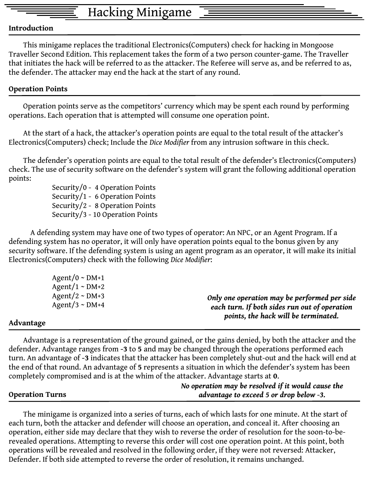## Hacking Minigame

## **Introduction**

 This minigame replaces the traditional Electronics(Computers) check for hacking in Mongoose Traveller Second Edition. This replacement takes the form of a two person counter-game. The Traveller that initiates the hack will be referred to as the attacker. The Referee will serve as, and be referred to as, the defender. The attacker may end the hack at the start of any round.

## **Operation Points**

 Operation points serve as the competitors' currency which may be spent each round by performing operations. Each operation that is attempted will consume one operation point.

 At the start of a hack, the attacker's operation points are equal to the total result of the attacker's Electronics(Computers) check; Include the *Dice Modifier* from any intrusion software in this check.

 The defender's operation points are equal to the total result of the defender's Electronics(Computers) check. The use of security software on the defender's system will grant the following additional operation points:

Security/0 - 4 Operation Points Security/1 - 6 Operation Points Security/2 - 8 Operation Points Security/3 - 10 Operation Points

A defending system may have one of two types of operator: An NPC, or an Agent Program. If a defending system has no operator, it will only have operation points equal to the bonus given by any security software. If the defending system is using an agent program as an operator, it will make its initial Electronics(Computers) check with the following *Dice Modifier*:

| Agent/0 $\sim$ DM+1<br>Agent/1 ~ $DM+2$ |                                                                                       |
|-----------------------------------------|---------------------------------------------------------------------------------------|
| Agent/2 ~ $DM+3$                        | Only one operation may be performed per side                                          |
| Agent/3 ~ $DM+4$                        | each turn. If both sides run out of operation<br>points, the hack will be terminated. |
| ъ                                       |                                                                                       |

## **Advantage**

 Advantage is a representation of the ground gained, or the gains denied, by both the attacker and the defender. Advantage ranges from **-3** to **5** and may be changed through the operations performed each turn. An advantage of **-3** indicates that the attacker has been completely shut-out and the hack will end at the end of that round. An advantage of **5** represents a situation in which the defender's system has been completely compromised and is at the whim of the attacker. Advantage starts at **0**.

|                        | No operation may be resolved if it would cause the |
|------------------------|----------------------------------------------------|
| <b>Operation Turns</b> | advantage to exceed 5 or drop below $-3$ .         |

 The minigame is organized into a series of turns, each of which lasts for one minute. At the start of each turn, both the attacker and defender will choose an operation, and conceal it. After choosing an operation, either side may declare that they wish to reverse the order of resolution for the soon-to-berevealed operations. Attempting to reverse this order will cost one operation point. At this point, both operations will be revealed and resolved in the following order, if they were not reversed: Attacker, Defender. If both side attempted to reverse the order of resolution, it remains unchanged.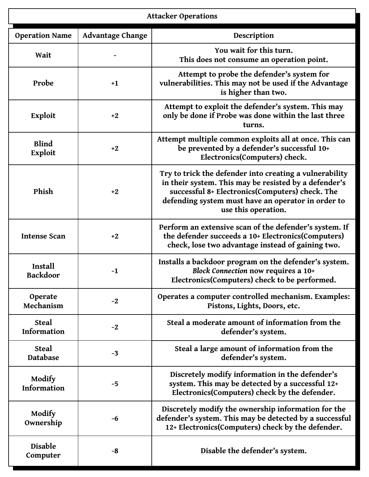|                             |                         | <b>Attacker Operations</b>                                                                                                                                                                                                                       |
|-----------------------------|-------------------------|--------------------------------------------------------------------------------------------------------------------------------------------------------------------------------------------------------------------------------------------------|
| <b>Operation Name</b>       | <b>Advantage Change</b> | Description                                                                                                                                                                                                                                      |
| Wait                        |                         | You wait for this turn.<br>This does not consume an operation point.                                                                                                                                                                             |
| Probe                       | $+1$                    | Attempt to probe the defender's system for<br>vulnerabilities. This may not be used if the Advantage<br>is higher than two.                                                                                                                      |
| Exploit                     | $+2$                    | Attempt to exploit the defender's system. This may<br>only be done if Probe was done within the last three<br>turns.                                                                                                                             |
| <b>Blind</b><br>Exploit     | $+2$                    | Attempt multiple common exploits all at once. This can<br>be prevented by a defender's successful 10+<br>Electronics(Computers) check.                                                                                                           |
| Phish                       | $+2$                    | Try to trick the defender into creating a vulnerability<br>in their system. This may be resisted by a defender's<br>successful 8+ Electronics(Computers) check. The<br>defending system must have an operator in order to<br>use this operation. |
| <b>Intense Scan</b>         | $+2$                    | Perform an extensive scan of the defender's system. If<br>the defender succeeds a 10+ Electronics(Computers)<br>check, lose two advantage instead of gaining two.                                                                                |
| Install<br><b>Backdoor</b>  | $-1$                    | Installs a backdoor program on the defender's system.<br><b>Block Connection now requires a 10+</b><br>Electronics(Computers) check to be performed.                                                                                             |
| Operate<br>Mechanism        | $-2$                    | Operates a computer controlled mechanism. Examples:<br>Pistons, Lights, Doors, etc.                                                                                                                                                              |
| <b>Steal</b><br>Information | $-2$                    | Steal a moderate amount of information from the<br>defender's system.                                                                                                                                                                            |
| <b>Steal</b><br>Database    | $-3$                    | Steal a large amount of information from the<br>defender's system.                                                                                                                                                                               |
| Modify<br>Information       | $-5$                    | Discretely modify information in the defender's<br>system. This may be detected by a successful 12+<br>Electronics(Computers) check by the defender.                                                                                             |
| Modify<br>Ownership         | -6                      | Discretely modify the ownership information for the<br>defender's system. This may be detected by a successful<br>12+ Electronics(Computers) check by the defender.                                                                              |
| Disable<br>Computer         | -8                      | Disable the defender's system.                                                                                                                                                                                                                   |